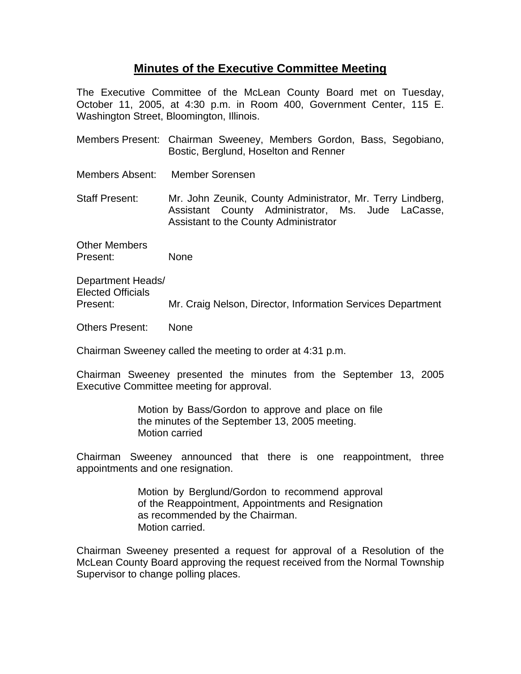## **Minutes of the Executive Committee Meeting**

The Executive Committee of the McLean County Board met on Tuesday, October 11, 2005, at 4:30 p.m. in Room 400, Government Center, 115 E. Washington Street, Bloomington, Illinois.

- Members Present: Chairman Sweeney, Members Gordon, Bass, Segobiano, Bostic, Berglund, Hoselton and Renner
- Members Absent: Member Sorensen

Staff Present: Mr. John Zeunik, County Administrator, Mr. Terry Lindberg, Assistant County Administrator, Ms. Jude LaCasse, Assistant to the County Administrator

Other Members Present: None

Department Heads/ Elected Officials Present: Mr. Craig Nelson, Director, Information Services Department

Others Present: None

Chairman Sweeney called the meeting to order at 4:31 p.m.

Chairman Sweeney presented the minutes from the September 13, 2005 Executive Committee meeting for approval.

> Motion by Bass/Gordon to approve and place on file the minutes of the September 13, 2005 meeting. Motion carried

Chairman Sweeney announced that there is one reappointment, three appointments and one resignation.

> Motion by Berglund/Gordon to recommend approval of the Reappointment, Appointments and Resignation as recommended by the Chairman. Motion carried.

Chairman Sweeney presented a request for approval of a Resolution of the McLean County Board approving the request received from the Normal Township Supervisor to change polling places.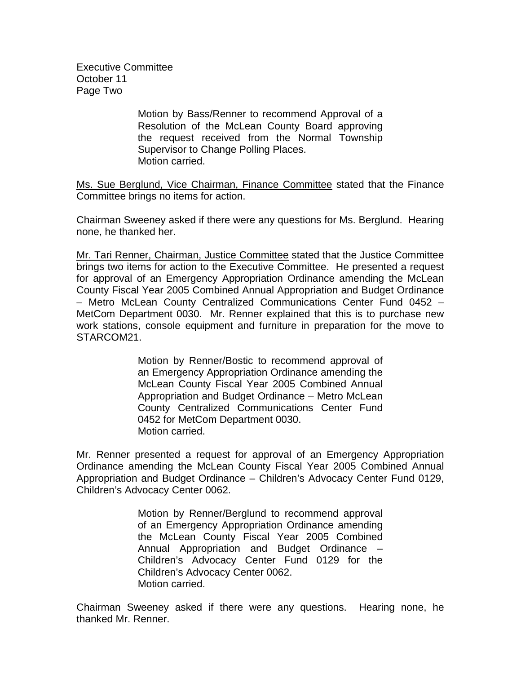Executive Committee October 11 Page Two

> Motion by Bass/Renner to recommend Approval of a Resolution of the McLean County Board approving the request received from the Normal Township Supervisor to Change Polling Places. Motion carried.

Ms. Sue Berglund, Vice Chairman, Finance Committee stated that the Finance Committee brings no items for action.

Chairman Sweeney asked if there were any questions for Ms. Berglund. Hearing none, he thanked her.

Mr. Tari Renner, Chairman, Justice Committee stated that the Justice Committee brings two items for action to the Executive Committee. He presented a request for approval of an Emergency Appropriation Ordinance amending the McLean County Fiscal Year 2005 Combined Annual Appropriation and Budget Ordinance – Metro McLean County Centralized Communications Center Fund 0452 – MetCom Department 0030. Mr. Renner explained that this is to purchase new work stations, console equipment and furniture in preparation for the move to STARCOM21.

> Motion by Renner/Bostic to recommend approval of an Emergency Appropriation Ordinance amending the McLean County Fiscal Year 2005 Combined Annual Appropriation and Budget Ordinance – Metro McLean County Centralized Communications Center Fund 0452 for MetCom Department 0030. Motion carried.

Mr. Renner presented a request for approval of an Emergency Appropriation Ordinance amending the McLean County Fiscal Year 2005 Combined Annual Appropriation and Budget Ordinance – Children's Advocacy Center Fund 0129, Children's Advocacy Center 0062.

> Motion by Renner/Berglund to recommend approval of an Emergency Appropriation Ordinance amending the McLean County Fiscal Year 2005 Combined Annual Appropriation and Budget Ordinance – Children's Advocacy Center Fund 0129 for the Children's Advocacy Center 0062. Motion carried.

Chairman Sweeney asked if there were any questions. Hearing none, he thanked Mr. Renner.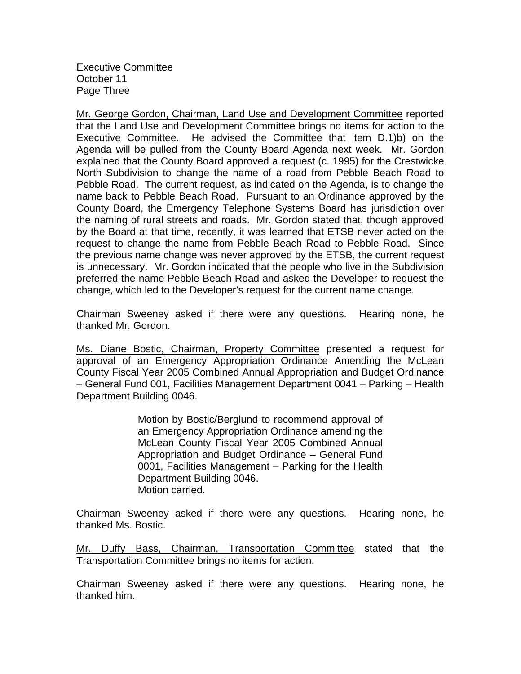Executive Committee October 11 Page Three

Mr. George Gordon, Chairman, Land Use and Development Committee reported that the Land Use and Development Committee brings no items for action to the Executive Committee. He advised the Committee that item D.1)b) on the Agenda will be pulled from the County Board Agenda next week. Mr. Gordon explained that the County Board approved a request (c. 1995) for the Crestwicke North Subdivision to change the name of a road from Pebble Beach Road to Pebble Road. The current request, as indicated on the Agenda, is to change the name back to Pebble Beach Road. Pursuant to an Ordinance approved by the County Board, the Emergency Telephone Systems Board has jurisdiction over the naming of rural streets and roads. Mr. Gordon stated that, though approved by the Board at that time, recently, it was learned that ETSB never acted on the request to change the name from Pebble Beach Road to Pebble Road. Since the previous name change was never approved by the ETSB, the current request is unnecessary. Mr. Gordon indicated that the people who live in the Subdivision preferred the name Pebble Beach Road and asked the Developer to request the change, which led to the Developer's request for the current name change.

Chairman Sweeney asked if there were any questions. Hearing none, he thanked Mr. Gordon.

Ms. Diane Bostic, Chairman, Property Committee presented a request for approval of an Emergency Appropriation Ordinance Amending the McLean County Fiscal Year 2005 Combined Annual Appropriation and Budget Ordinance – General Fund 001, Facilities Management Department 0041 – Parking – Health Department Building 0046.

> Motion by Bostic/Berglund to recommend approval of an Emergency Appropriation Ordinance amending the McLean County Fiscal Year 2005 Combined Annual Appropriation and Budget Ordinance – General Fund 0001, Facilities Management – Parking for the Health Department Building 0046. Motion carried.

Chairman Sweeney asked if there were any questions. Hearing none, he thanked Ms. Bostic.

Mr. Duffy Bass, Chairman, Transportation Committee stated that the Transportation Committee brings no items for action.

Chairman Sweeney asked if there were any questions. Hearing none, he thanked him.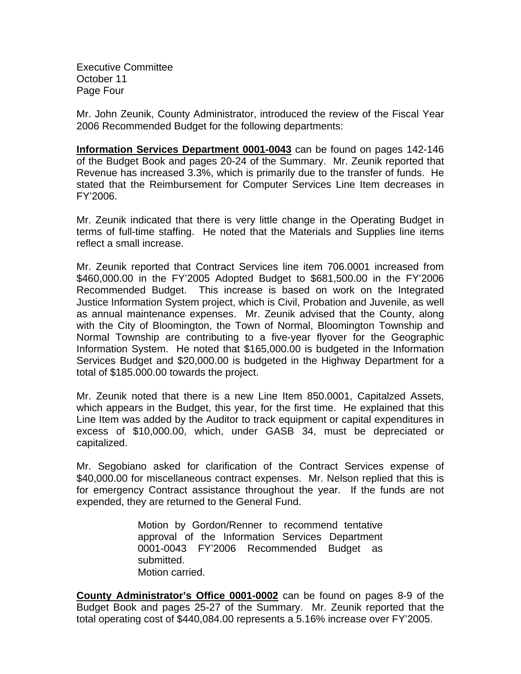Executive Committee October 11 Page Four

Mr. John Zeunik, County Administrator, introduced the review of the Fiscal Year 2006 Recommended Budget for the following departments:

**Information Services Department 0001-0043** can be found on pages 142-146 of the Budget Book and pages 20-24 of the Summary. Mr. Zeunik reported that Revenue has increased 3.3%, which is primarily due to the transfer of funds. He stated that the Reimbursement for Computer Services Line Item decreases in FY'2006.

Mr. Zeunik indicated that there is very little change in the Operating Budget in terms of full-time staffing. He noted that the Materials and Supplies line items reflect a small increase.

Mr. Zeunik reported that Contract Services line item 706.0001 increased from \$460,000.00 in the FY'2005 Adopted Budget to \$681,500.00 in the FY'2006 Recommended Budget. This increase is based on work on the Integrated Justice Information System project, which is Civil, Probation and Juvenile, as well as annual maintenance expenses. Mr. Zeunik advised that the County, along with the City of Bloomington, the Town of Normal, Bloomington Township and Normal Township are contributing to a five-year flyover for the Geographic Information System. He noted that \$165,000.00 is budgeted in the Information Services Budget and \$20,000.00 is budgeted in the Highway Department for a total of \$185.000.00 towards the project.

Mr. Zeunik noted that there is a new Line Item 850.0001, Capitalzed Assets, which appears in the Budget, this year, for the first time. He explained that this Line Item was added by the Auditor to track equipment or capital expenditures in excess of \$10,000.00, which, under GASB 34, must be depreciated or capitalized.

Mr. Segobiano asked for clarification of the Contract Services expense of \$40,000.00 for miscellaneous contract expenses. Mr. Nelson replied that this is for emergency Contract assistance throughout the year. If the funds are not expended, they are returned to the General Fund.

> Motion by Gordon/Renner to recommend tentative approval of the Information Services Department 0001-0043 FY'2006 Recommended Budget as submitted. Motion carried.

**County Administrator's Office 0001-0002** can be found on pages 8-9 of the Budget Book and pages 25-27 of the Summary. Mr. Zeunik reported that the total operating cost of \$440,084.00 represents a 5.16% increase over FY'2005.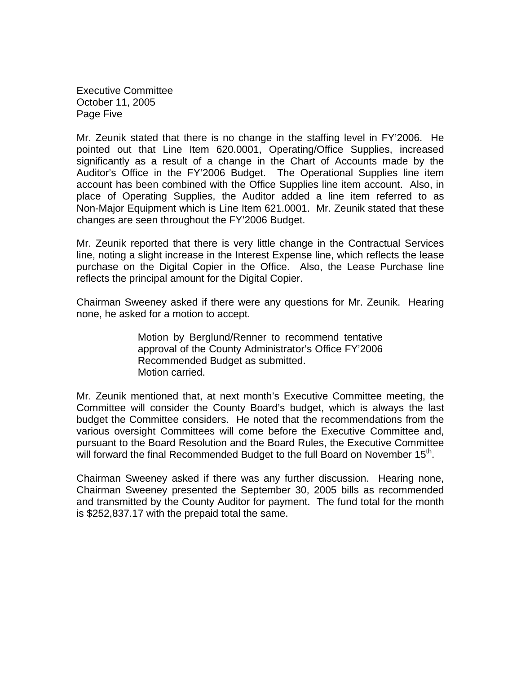Executive Committee October 11, 2005 Page Five

Mr. Zeunik stated that there is no change in the staffing level in FY'2006. He pointed out that Line Item 620.0001, Operating/Office Supplies, increased significantly as a result of a change in the Chart of Accounts made by the Auditor's Office in the FY'2006 Budget. The Operational Supplies line item account has been combined with the Office Supplies line item account. Also, in place of Operating Supplies, the Auditor added a line item referred to as Non-Major Equipment which is Line Item 621.0001. Mr. Zeunik stated that these changes are seen throughout the FY'2006 Budget.

Mr. Zeunik reported that there is very little change in the Contractual Services line, noting a slight increase in the Interest Expense line, which reflects the lease purchase on the Digital Copier in the Office. Also, the Lease Purchase line reflects the principal amount for the Digital Copier.

Chairman Sweeney asked if there were any questions for Mr. Zeunik. Hearing none, he asked for a motion to accept.

> Motion by Berglund/Renner to recommend tentative approval of the County Administrator's Office FY'2006 Recommended Budget as submitted. Motion carried.

Mr. Zeunik mentioned that, at next month's Executive Committee meeting, the Committee will consider the County Board's budget, which is always the last budget the Committee considers. He noted that the recommendations from the various oversight Committees will come before the Executive Committee and, pursuant to the Board Resolution and the Board Rules, the Executive Committee will forward the final Recommended Budget to the full Board on November  $15<sup>th</sup>$ .

Chairman Sweeney asked if there was any further discussion. Hearing none, Chairman Sweeney presented the September 30, 2005 bills as recommended and transmitted by the County Auditor for payment. The fund total for the month is \$252,837.17 with the prepaid total the same.